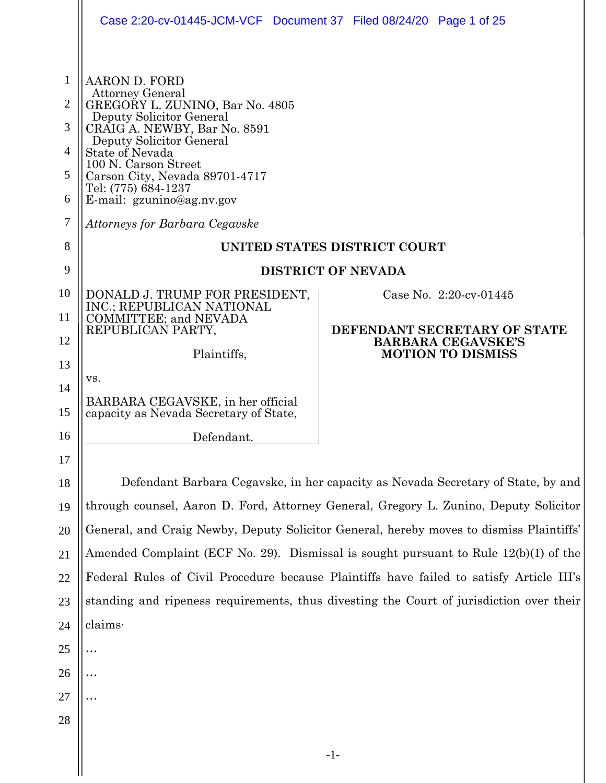|                                                           | Case 2:20-cv-01445-JCM-VCF Document 37 Filed 08/24/20 Page 1 of 25                                                                                                                                                                                                                                                                     |                                                                                       |  |
|-----------------------------------------------------------|----------------------------------------------------------------------------------------------------------------------------------------------------------------------------------------------------------------------------------------------------------------------------------------------------------------------------------------|---------------------------------------------------------------------------------------|--|
| 1<br>$\overline{2}$<br>3<br>$\overline{4}$<br>5<br>6<br>7 | AARON D. FORD<br><b>Attorney General</b><br>GREGORY L. ZUNINO, Bar No. 4805<br>Deputy Solicitor General<br>CRAIG A. NEWBY, Bar No. 8591<br>Deputy Solicitor General<br>State of Nevada<br>100 N. Carson Street<br>Carson City, Nevada 89701-4717<br>Tel: (775) 684-1237<br>E-mail: gzunino@ag.nv.gov<br>Attorneys for Barbara Cegavske |                                                                                       |  |
| 8                                                         | UNITED STATES DISTRICT COURT                                                                                                                                                                                                                                                                                                           |                                                                                       |  |
| 9                                                         | <b>DISTRICT OF NEVADA</b>                                                                                                                                                                                                                                                                                                              |                                                                                       |  |
| 10                                                        | DONALD J. TRUMP FOR PRESIDENT,<br>INC.; REPUBLICAN NATIONAL                                                                                                                                                                                                                                                                            | Case No. 2:20-cv-01445                                                                |  |
| 11                                                        | COMMITTEE; and NEVADA<br>REPUBLICAN PARTY,                                                                                                                                                                                                                                                                                             | DEFENDANT SECRETARY OF STATE<br><b>BARBARA CEGAVSKE'S</b><br><b>MOTION TO DISMISS</b> |  |
| 12                                                        | Plaintiffs,                                                                                                                                                                                                                                                                                                                            |                                                                                       |  |
| 13                                                        | VS.                                                                                                                                                                                                                                                                                                                                    |                                                                                       |  |
| 14<br>15                                                  | BARBARA CEGAVSKE, in her official<br>capacity as Nevada Secretary of State,                                                                                                                                                                                                                                                            |                                                                                       |  |
| 16                                                        | Defendant.                                                                                                                                                                                                                                                                                                                             |                                                                                       |  |
| 17                                                        |                                                                                                                                                                                                                                                                                                                                        |                                                                                       |  |
| 18                                                        | Defendant Barbara Cegavske, in her capacity as Nevada Secretary of State, by and                                                                                                                                                                                                                                                       |                                                                                       |  |
| 19                                                        | through counsel, Aaron D. Ford, Attorney General, Gregory L. Zunino, Deputy Solicitor                                                                                                                                                                                                                                                  |                                                                                       |  |
| 20                                                        | General, and Craig Newby, Deputy Solicitor General, hereby moves to dismiss Plaintiffs'                                                                                                                                                                                                                                                |                                                                                       |  |
| 21                                                        | Amended Complaint (ECF No. 29). Dismissal is sought pursuant to Rule 12(b)(1) of the                                                                                                                                                                                                                                                   |                                                                                       |  |
| 22                                                        | Federal Rules of Civil Procedure because Plaintiffs have failed to satisfy Article III's                                                                                                                                                                                                                                               |                                                                                       |  |
| 23                                                        | standing and ripeness requirements, thus divesting the Court of jurisdiction over their                                                                                                                                                                                                                                                |                                                                                       |  |
| 24                                                        | claims·                                                                                                                                                                                                                                                                                                                                |                                                                                       |  |
| 25                                                        |                                                                                                                                                                                                                                                                                                                                        |                                                                                       |  |
| 26                                                        |                                                                                                                                                                                                                                                                                                                                        |                                                                                       |  |
| 27                                                        |                                                                                                                                                                                                                                                                                                                                        |                                                                                       |  |
| 28                                                        |                                                                                                                                                                                                                                                                                                                                        |                                                                                       |  |
|                                                           |                                                                                                                                                                                                                                                                                                                                        | $-1-$                                                                                 |  |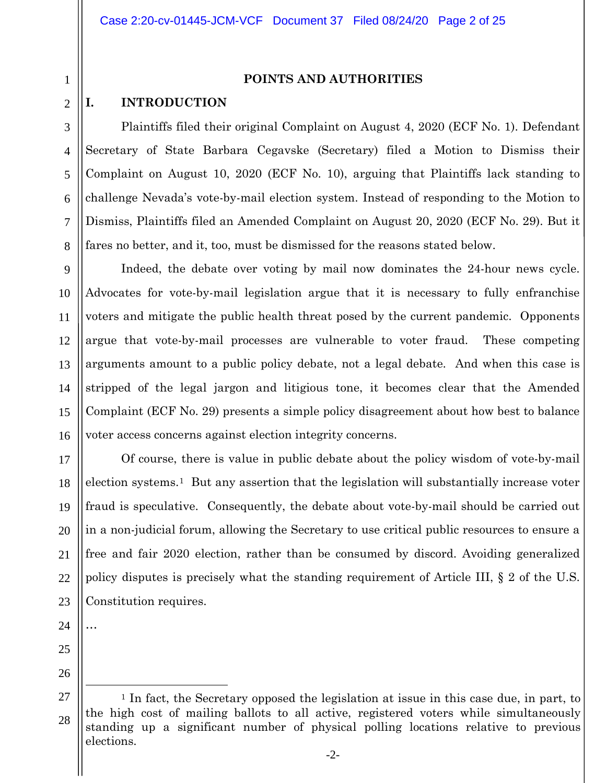1 2

3

4

5

6

7

8

## **POINTS AND AUTHORITIES**

## **I. INTRODUCTION**

Plaintiffs filed their original Complaint on August 4, 2020 (ECF No. 1). Defendant Secretary of State Barbara Cegavske (Secretary) filed a Motion to Dismiss their Complaint on August 10, 2020 (ECF No. 10), arguing that Plaintiffs lack standing to challenge Nevada's vote-by-mail election system. Instead of responding to the Motion to Dismiss, Plaintiffs filed an Amended Complaint on August 20, 2020 (ECF No. 29). But it fares no better, and it, too, must be dismissed for the reasons stated below.

9 10 11 12 13 14 15 16 Indeed, the debate over voting by mail now dominates the 24-hour news cycle. Advocates for vote-by-mail legislation argue that it is necessary to fully enfranchise voters and mitigate the public health threat posed by the current pandemic. Opponents argue that vote-by-mail processes are vulnerable to voter fraud. These competing arguments amount to a public policy debate, not a legal debate. And when this case is stripped of the legal jargon and litigious tone, it becomes clear that the Amended Complaint (ECF No. 29) presents a simple policy disagreement about how best to balance voter access concerns against election integrity concerns.

17 18 19 20 21 22 23 Of course, there is value in public debate about the policy wisdom of vote-by-mail election systems.[1](#page-1-0) But any assertion that the legislation will substantially increase voter fraud is speculative. Consequently, the debate about vote-by-mail should be carried out in a non-judicial forum, allowing the Secretary to use critical public resources to ensure a free and fair 2020 election, rather than be consumed by discord. Avoiding generalized policy disputes is precisely what the standing requirement of Article III, § 2 of the U.S. Constitution requires.

24

…

- 25
- 26

<span id="page-1-0"></span><sup>27</sup> 28 <sup>1</sup> In fact, the Secretary opposed the legislation at issue in this case due, in part, to the high cost of mailing ballots to all active, registered voters while simultaneously standing up a significant number of physical polling locations relative to previous elections.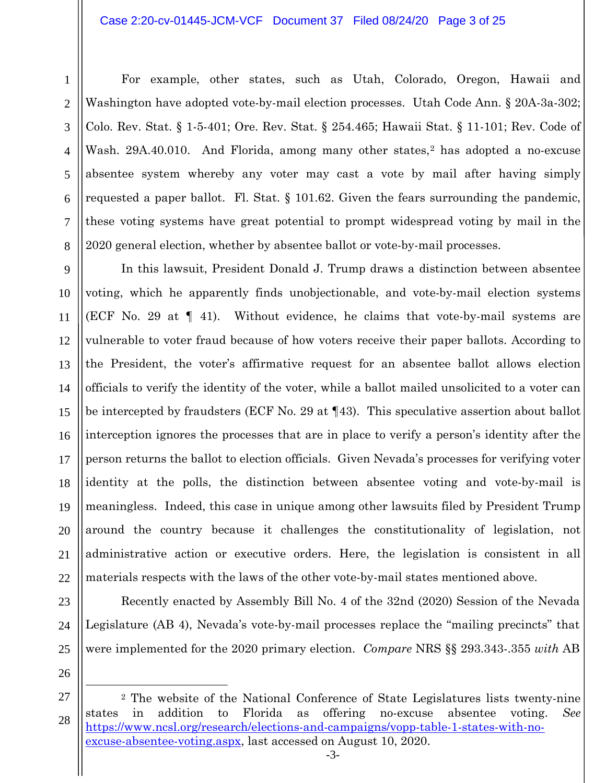#### Case 2:20-cv-01445-JCM-VCF Document 37 Filed 08/24/20 Page 3 of 25

12

13

14

15

16

17

18

19

20

21

22

23

For example, other states, such as Utah, Colorado, Oregon, Hawaii and Washington have adopted vote-by-mail election processes. Utah Code Ann. § 20A-3a-302; Colo. Rev. Stat. § 1-5-401; Ore. Rev. Stat. § 254.465; Hawaii Stat. § 11-101; Rev. Code of Wash. [2](#page-2-0)9A.40.010. And Florida, among many other states,<sup>2</sup> has adopted a no-excuse absentee system whereby any voter may cast a vote by mail after having simply requested a paper ballot. Fl. Stat.  $\S$  101.62. Given the fears surrounding the pandemic, these voting systems have great potential to prompt widespread voting by mail in the 2020 general election, whether by absentee ballot or vote-by-mail processes.

In this lawsuit, President Donald J. Trump draws a distinction between absentee voting, which he apparently finds unobjectionable, and vote-by-mail election systems (ECF No. 29 at ¶ 41). Without evidence, he claims that vote-by-mail systems are vulnerable to voter fraud because of how voters receive their paper ballots. According to the President, the voter's affirmative request for an absentee ballot allows election officials to verify the identity of the voter, while a ballot mailed unsolicited to a voter can be intercepted by fraudsters (ECF No. 29 at ¶43). This speculative assertion about ballot interception ignores the processes that are in place to verify a person's identity after the person returns the ballot to election officials. Given Nevada's processes for verifying voter identity at the polls, the distinction between absentee voting and vote-by-mail is meaningless. Indeed, this case in unique among other lawsuits filed by President Trump around the country because it challenges the constitutionality of legislation, not administrative action or executive orders. Here, the legislation is consistent in all materials respects with the laws of the other vote-by-mail states mentioned above.

24 25 26

Recently enacted by Assembly Bill No. 4 of the 32nd (2020) Session of the Nevada Legislature (AB 4), Nevada's vote-by-mail processes replace the "mailing precincts" that were implemented for the 2020 primary election. *Compare* NRS §§ 293.343-.355 *with* AB

27

<span id="page-2-0"></span><sup>28</sup> <sup>2</sup> The website of the National Conference of State Legislatures lists twenty-nine states in addition to Florida as offering no-excuse absentee voting. *See* [https://www.ncsl.org/research/elections-and-campaigns/vopp-table-1-states-with-no](https://www.ncsl.org/research/elections-and-campaigns/vopp-table-1-states-with-no-excuse-absentee-voting.aspx)[excuse-absentee-voting.aspx,](https://www.ncsl.org/research/elections-and-campaigns/vopp-table-1-states-with-no-excuse-absentee-voting.aspx) last accessed on August 10, 2020.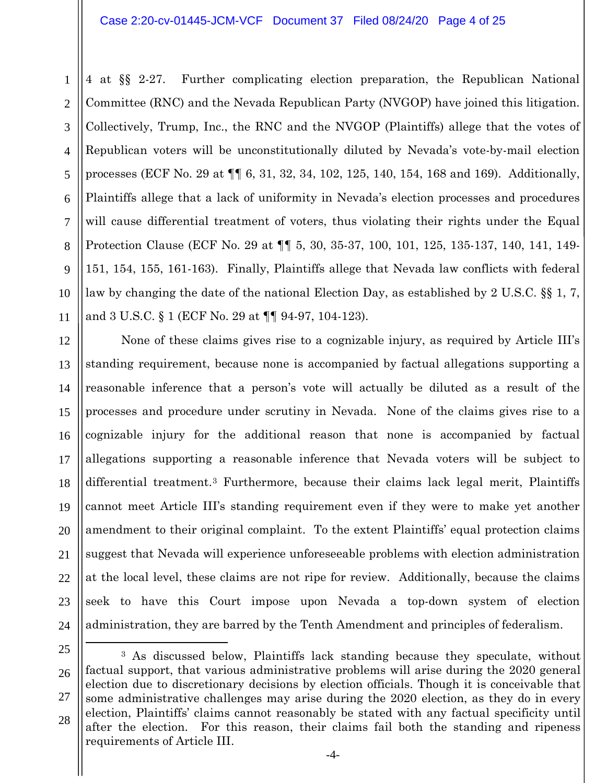### Case 2:20-cv-01445-JCM-VCF Document 37 Filed 08/24/20 Page 4 of 25

6

7

8

9

10

11

1

4 at §§ 2-27. Further complicating election preparation, the Republican National Committee (RNC) and the Nevada Republican Party (NVGOP) have joined this litigation. Collectively, Trump, Inc., the RNC and the NVGOP (Plaintiffs) allege that the votes of Republican voters will be unconstitutionally diluted by Nevada's vote-by-mail election processes (ECF No. 29 at ¶¶ 6, 31, 32, 34, 102, 125, 140, 154, 168 and 169). Additionally, Plaintiffs allege that a lack of uniformity in Nevada's election processes and procedures will cause differential treatment of voters, thus violating their rights under the Equal Protection Clause (ECF No. 29 at ¶¶ 5, 30, 35-37, 100, 101, 125, 135-137, 140, 141, 149- 151, 154, 155, 161-163). Finally, Plaintiffs allege that Nevada law conflicts with federal law by changing the date of the national Election Day, as established by 2 U.S.C. §§ 1, 7, and 3 U.S.C. § 1 (ECF No. 29 at ¶¶ 94-97, 104-123).

12 13 14 15 16 17 18 19 20 21 22 23 24 None of these claims gives rise to a cognizable injury, as required by Article III's standing requirement, because none is accompanied by factual allegations supporting a reasonable inference that a person's vote will actually be diluted as a result of the processes and procedure under scrutiny in Nevada. None of the claims gives rise to a cognizable injury for the additional reason that none is accompanied by factual allegations supporting a reasonable inference that Nevada voters will be subject to differential treatment.[3](#page-3-0) Furthermore, because their claims lack legal merit, Plaintiffs cannot meet Article III's standing requirement even if they were to make yet another amendment to their original complaint. To the extent Plaintiffs' equal protection claims suggest that Nevada will experience unforeseeable problems with election administration at the local level, these claims are not ripe for review. Additionally, because the claims seek to have this Court impose upon Nevada a top-down system of election administration, they are barred by the Tenth Amendment and principles of federalism.

<span id="page-3-0"></span><sup>25</sup>

<sup>26</sup> 27 28 <sup>3</sup> As discussed below, Plaintiffs lack standing because they speculate, without factual support, that various administrative problems will arise during the 2020 general election due to discretionary decisions by election officials. Though it is conceivable that some administrative challenges may arise during the 2020 election, as they do in every election, Plaintiffs' claims cannot reasonably be stated with any factual specificity until after the election. For this reason, their claims fail both the standing and ripeness requirements of Article III.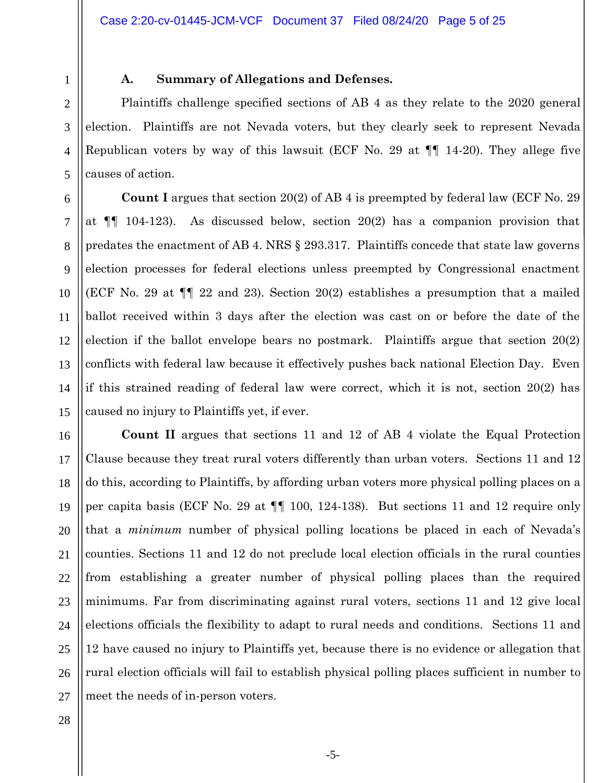## **A. Summary of Allegations and Defenses.**

Plaintiffs challenge specified sections of AB 4 as they relate to the 2020 general election. Plaintiffs are not Nevada voters, but they clearly seek to represent Nevada Republican voters by way of this lawsuit (ECF No. 29 at ¶¶ 14-20). They allege five causes of action.

**Count I** argues that section 20(2) of AB 4 is preempted by federal law (ECF No. 29 at  $\P$  104-123). As discussed below, section 20(2) has a companion provision that predates the enactment of AB 4. NRS § 293.317. Plaintiffs concede that state law governs election processes for federal elections unless preempted by Congressional enactment (ECF No. 29 at ¶¶ 22 and 23). Section 20(2) establishes a presumption that a mailed ballot received within 3 days after the election was cast on or before the date of the election if the ballot envelope bears no postmark. Plaintiffs argue that section 20(2) conflicts with federal law because it effectively pushes back national Election Day. Even if this strained reading of federal law were correct, which it is not, section 20(2) has caused no injury to Plaintiffs yet, if ever.

**Count II** argues that sections 11 and 12 of AB 4 violate the Equal Protection Clause because they treat rural voters differently than urban voters. Sections 11 and 12 do this, according to Plaintiffs, by affording urban voters more physical polling places on a per capita basis (ECF No. 29 at ¶¶ 100, 124-138). But sections 11 and 12 require only that a *minimum* number of physical polling locations be placed in each of Nevada's counties. Sections 11 and 12 do not preclude local election officials in the rural counties from establishing a greater number of physical polling places than the required minimums. Far from discriminating against rural voters, sections 11 and 12 give local elections officials the flexibility to adapt to rural needs and conditions. Sections 11 and 12 have caused no injury to Plaintiffs yet, because there is no evidence or allegation that rural election officials will fail to establish physical polling places sufficient in number to meet the needs of in-person voters.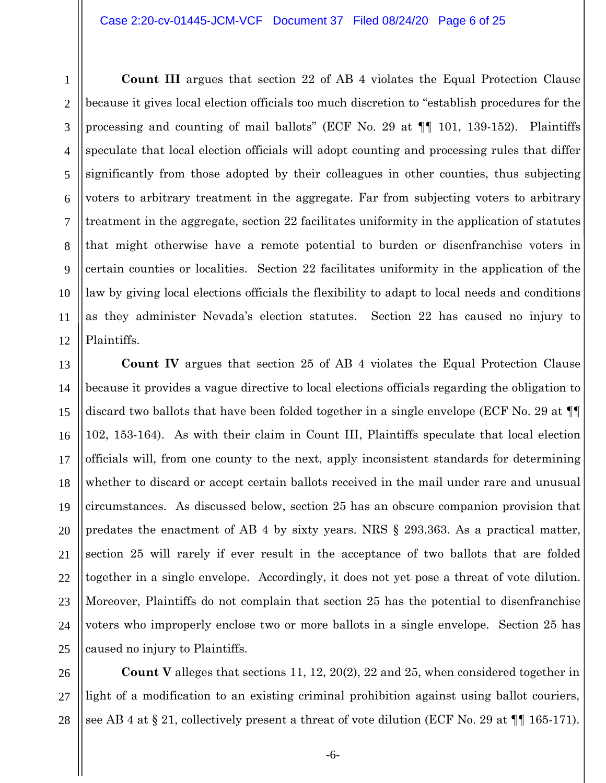1

**Count III** argues that section 22 of AB 4 violates the Equal Protection Clause because it gives local election officials too much discretion to "establish procedures for the processing and counting of mail ballots" (ECF No. 29 at  $\P\P$  101, 139-152). Plaintiffs speculate that local election officials will adopt counting and processing rules that differ significantly from those adopted by their colleagues in other counties, thus subjecting voters to arbitrary treatment in the aggregate. Far from subjecting voters to arbitrary treatment in the aggregate, section 22 facilitates uniformity in the application of statutes that might otherwise have a remote potential to burden or disenfranchise voters in certain counties or localities. Section 22 facilitates uniformity in the application of the law by giving local elections officials the flexibility to adapt to local needs and conditions as they administer Nevada's election statutes. Section 22 has caused no injury to Plaintiffs.

**Count IV** argues that section 25 of AB 4 violates the Equal Protection Clause because it provides a vague directive to local elections officials regarding the obligation to discard two ballots that have been folded together in a single envelope (ECF No. 29 at ¶¶ 102, 153-164). As with their claim in Count III, Plaintiffs speculate that local election officials will, from one county to the next, apply inconsistent standards for determining whether to discard or accept certain ballots received in the mail under rare and unusual circumstances. As discussed below, section 25 has an obscure companion provision that predates the enactment of AB 4 by sixty years. NRS § 293.363. As a practical matter, section 25 will rarely if ever result in the acceptance of two ballots that are folded together in a single envelope. Accordingly, it does not yet pose a threat of vote dilution. Moreover, Plaintiffs do not complain that section 25 has the potential to disenfranchise voters who improperly enclose two or more ballots in a single envelope. Section 25 has caused no injury to Plaintiffs.

27 28 **Count V** alleges that sections 11, 12, 20(2), 22 and 25, when considered together in light of a modification to an existing criminal prohibition against using ballot couriers, see AB 4 at § 21, collectively present a threat of vote dilution (ECF No. 29 at  $\P\P$  165-171).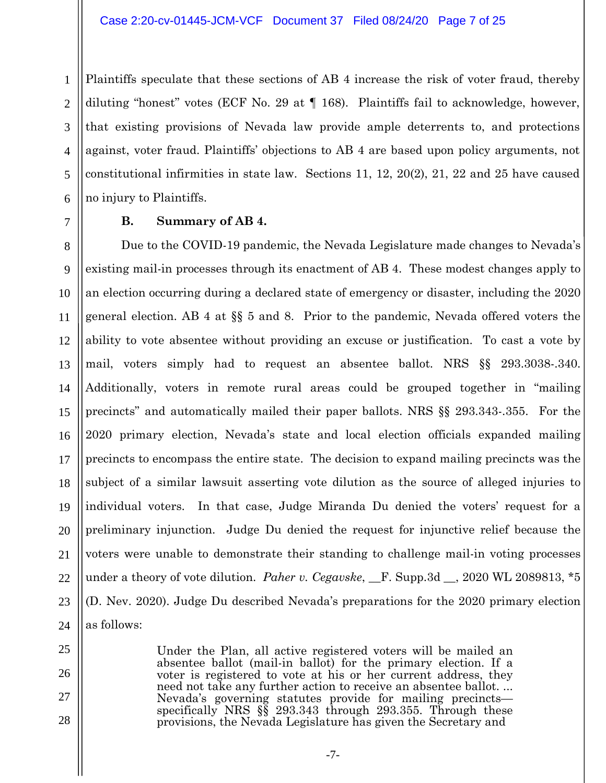1 2 3 4 5 6 Plaintiffs speculate that these sections of AB 4 increase the risk of voter fraud, thereby diluting "honest" votes (ECF No. 29 at ¶ 168). Plaintiffs fail to acknowledge, however, that existing provisions of Nevada law provide ample deterrents to, and protections against, voter fraud. Plaintiffs' objections to AB 4 are based upon policy arguments, not constitutional infirmities in state law. Sections 11, 12, 20(2), 21, 22 and 25 have caused no injury to Plaintiffs.

### **B. Summary of AB 4.**

7

25

26

27

28

8 9 10 11 12 13 14 15 16 17 18 19 20 21 22 23 24 Due to the COVID-19 pandemic, the Nevada Legislature made changes to Nevada's existing mail-in processes through its enactment of AB 4. These modest changes apply to an election occurring during a declared state of emergency or disaster, including the 2020 general election. AB 4 at §§ 5 and 8. Prior to the pandemic, Nevada offered voters the ability to vote absentee without providing an excuse or justification. To cast a vote by mail, voters simply had to request an absentee ballot. NRS §§ 293.3038-.340. Additionally, voters in remote rural areas could be grouped together in "mailing precincts" and automatically mailed their paper ballots. NRS §§ 293.343-.355. For the 2020 primary election, Nevada's state and local election officials expanded mailing precincts to encompass the entire state. The decision to expand mailing precincts was the subject of a similar lawsuit asserting vote dilution as the source of alleged injuries to individual voters. In that case, Judge Miranda Du denied the voters' request for a preliminary injunction. Judge Du denied the request for injunctive relief because the voters were unable to demonstrate their standing to challenge mail-in voting processes under a theory of vote dilution. *Paher v. Cegavske*, \_\_F. Supp.3d \_\_, 2020 WL 2089813, \*5 (D. Nev. 2020). Judge Du described Nevada's preparations for the 2020 primary election as follows:

> Under the Plan, all active registered voters will be mailed an absentee ballot (mail-in ballot) for the primary election. If a voter is registered to vote at his or her current address, they need not take any further action to receive an absentee ballot. ... Nevada's governing statutes provide for mailing precincts— specifically NRS §§ 293.343 through 293.355. Through these provisions, the Nevada Legislature has given the Secretary and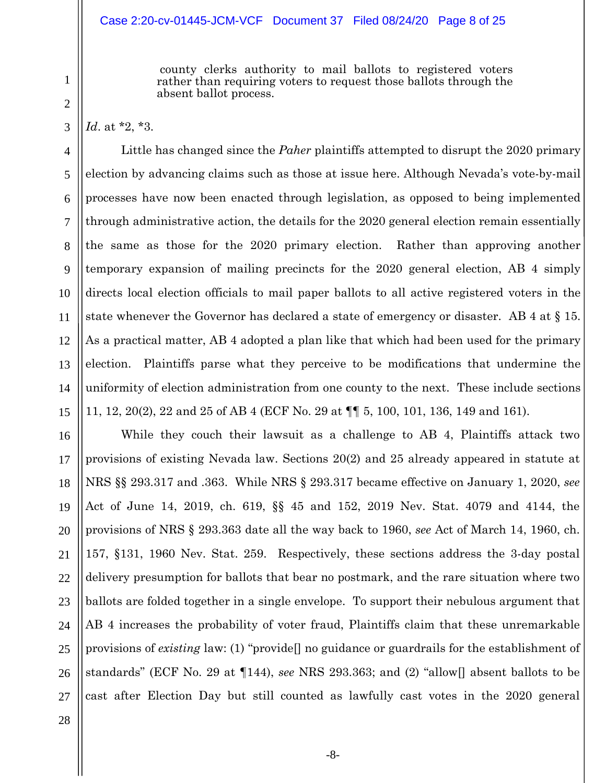#### Case 2:20-cv-01445-JCM-VCF Document 37 Filed 08/24/20 Page 8 of 25

county clerks authority to mail ballots to registered voters rather than requiring voters to request those ballots through the absent ballot process.

*Id*. at \*2, \*3.

Little has changed since the *Paher* plaintiffs attempted to disrupt the 2020 primary election by advancing claims such as those at issue here. Although Nevada's vote-by-mail processes have now been enacted through legislation, as opposed to being implemented through administrative action, the details for the 2020 general election remain essentially the same as those for the 2020 primary election. Rather than approving another temporary expansion of mailing precincts for the 2020 general election, AB 4 simply directs local election officials to mail paper ballots to all active registered voters in the state whenever the Governor has declared a state of emergency or disaster. AB 4 at  $\S$  15. As a practical matter, AB 4 adopted a plan like that which had been used for the primary election. Plaintiffs parse what they perceive to be modifications that undermine the uniformity of election administration from one county to the next. These include sections 11, 12, 20(2), 22 and 25 of AB 4 (ECF No. 29 at ¶¶ 5, 100, 101, 136, 149 and 161).

While they couch their lawsuit as a challenge to AB 4, Plaintiffs attack two provisions of existing Nevada law. Sections 20(2) and 25 already appeared in statute at NRS §§ 293.317 and .363. While NRS § 293.317 became effective on January 1, 2020, *see* Act of June 14, 2019, ch. 619, §§ 45 and 152, 2019 Nev. Stat. 4079 and 4144, the provisions of NRS § 293.363 date all the way back to 1960, *see* Act of March 14, 1960, ch. 157, §131, 1960 Nev. Stat. 259. Respectively, these sections address the 3-day postal delivery presumption for ballots that bear no postmark, and the rare situation where two ballots are folded together in a single envelope. To support their nebulous argument that AB 4 increases the probability of voter fraud, Plaintiffs claim that these unremarkable provisions of *existing* law: (1) "provide[] no guidance or guardrails for the establishment of standards" (ECF No. 29 at ¶144), *see* NRS 293.363; and (2) "allow[] absent ballots to be cast after Election Day but still counted as lawfully cast votes in the 2020 general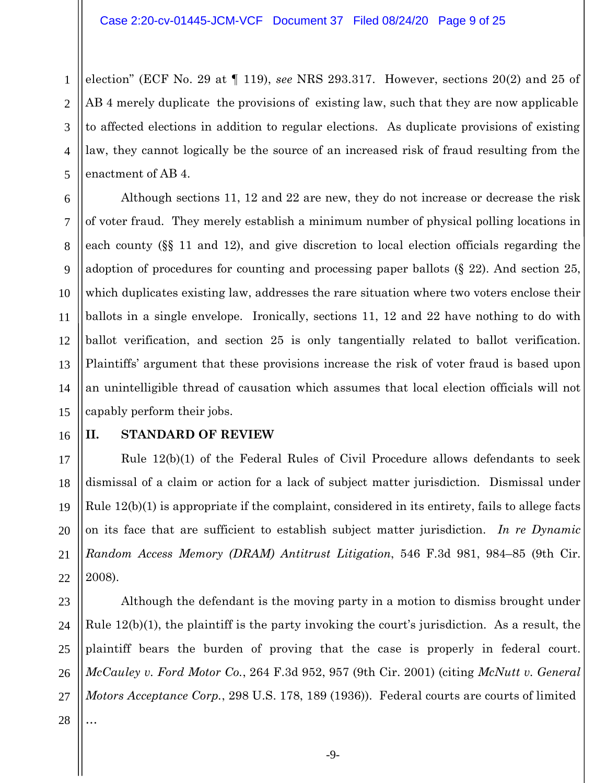2 election" (ECF No. 29 at ¶ 119), *see* NRS 293.317. However, sections 20(2) and 25 of AB 4 merely duplicate the provisions of existing law, such that they are now applicable to affected elections in addition to regular elections. As duplicate provisions of existing law, they cannot logically be the source of an increased risk of fraud resulting from the enactment of AB 4.

Although sections 11, 12 and 22 are new, they do not increase or decrease the risk of voter fraud. They merely establish a minimum number of physical polling locations in each county (§§ 11 and 12), and give discretion to local election officials regarding the adoption of procedures for counting and processing paper ballots (§ 22). And section 25, which duplicates existing law, addresses the rare situation where two voters enclose their ballots in a single envelope. Ironically, sections 11, 12 and 22 have nothing to do with ballot verification, and section 25 is only tangentially related to ballot verification. Plaintiffs' argument that these provisions increase the risk of voter fraud is based upon an unintelligible thread of causation which assumes that local election officials will not capably perform their jobs.

# **II. STANDARD OF REVIEW**

Rule 12(b)(1) of the Federal Rules of Civil Procedure allows defendants to seek dismissal of a claim or action for a lack of subject matter jurisdiction. Dismissal under Rule 12(b)(1) is appropriate if the complaint, considered in its entirety, fails to allege facts on its face that are sufficient to establish subject matter jurisdiction. *In re Dynamic Random Access Memory (DRAM) Antitrust Litigation*, 546 F.3d 981, 984–85 (9th Cir. 2008).

Although the defendant is the moving party in a motion to dismiss brought under Rule 12(b)(1), the plaintiff is the party invoking the court's jurisdiction. As a result, the plaintiff bears the burden of proving that the case is properly in federal court. *McCauley v. Ford Motor Co.*, 264 F.3d 952, 957 (9th Cir. 2001) (citing *McNutt v. General Motors Acceptance Corp.*, 298 U.S. 178, 189 (1936)). Federal courts are courts of limited …

1

-9-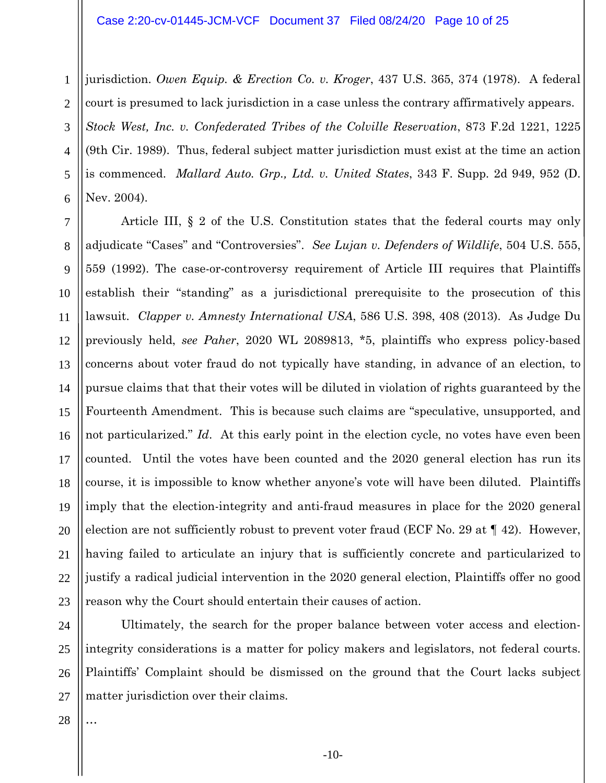#### Case 2:20-cv-01445-JCM-VCF Document 37 Filed 08/24/20 Page 10 of 25

1 2 3 4 5 6 jurisdiction. *Owen Equip. & Erection Co. v. Kroger*, 437 U.S. 365, 374 (1978). A federal court is presumed to lack jurisdiction in a case unless the contrary affirmatively appears. *Stock West, Inc. v. Confederated Tribes of the Colville Reservation*, 873 F.2d 1221, 1225 (9th Cir. 1989). Thus, federal subject matter jurisdiction must exist at the time an action is commenced. *Mallard Auto. Grp., Ltd. v. United States*, 343 F. Supp. 2d 949, 952 (D. Nev. 2004).

7 8 9 10 11 12 13 14 15 16 17 18 19 20 21 22 23 Article III, § 2 of the U.S. Constitution states that the federal courts may only adjudicate "Cases" and "Controversies". *See Lujan v. Defenders of Wildlife*, 504 U.S. 555, 559 (1992). The case-or-controversy requirement of Article III requires that Plaintiffs establish their "standing" as a jurisdictional prerequisite to the prosecution of this lawsuit. *Clapper v. Amnesty International USA*, 586 U.S. 398, 408 (2013). As Judge Du previously held, *see Paher*, 2020 WL 2089813, \*5, plaintiffs who express policy-based concerns about voter fraud do not typically have standing, in advance of an election, to pursue claims that that their votes will be diluted in violation of rights guaranteed by the Fourteenth Amendment. This is because such claims are "speculative, unsupported, and not particularized." *Id*. At this early point in the election cycle, no votes have even been counted. Until the votes have been counted and the 2020 general election has run its course, it is impossible to know whether anyone's vote will have been diluted. Plaintiffs imply that the election-integrity and anti-fraud measures in place for the 2020 general election are not sufficiently robust to prevent voter fraud (ECF No. 29 at ¶ 42). However, having failed to articulate an injury that is sufficiently concrete and particularized to justify a radical judicial intervention in the 2020 general election, Plaintiffs offer no good reason why the Court should entertain their causes of action.

24 25 26 27 Ultimately, the search for the proper balance between voter access and electionintegrity considerations is a matter for policy makers and legislators, not federal courts. Plaintiffs' Complaint should be dismissed on the ground that the Court lacks subject matter jurisdiction over their claims.

28

…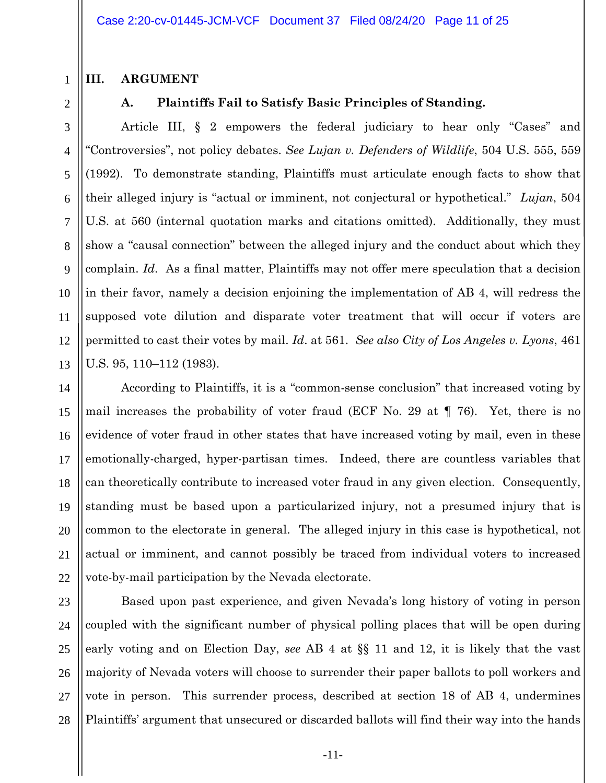### **III. ARGUMENT**

2

3

4

5

6

7

8

9

10

11

12

13

21

1

# **A. Plaintiffs Fail to Satisfy Basic Principles of Standing.**

Article III, § 2 empowers the federal judiciary to hear only "Cases" and "Controversies", not policy debates. *See Lujan v. Defenders of Wildlife*, 504 U.S. 555, 559 (1992). To demonstrate standing, Plaintiffs must articulate enough facts to show that their alleged injury is "actual or imminent, not conjectural or hypothetical." *Lujan*, 504 U.S. at 560 (internal quotation marks and citations omitted). Additionally, they must show a "causal connection" between the alleged injury and the conduct about which they complain. *Id*. As a final matter, Plaintiffs may not offer mere speculation that a decision in their favor, namely a decision enjoining the implementation of AB 4, will redress the supposed vote dilution and disparate voter treatment that will occur if voters are permitted to cast their votes by mail. *Id*. at 561. *See also City of Los Angeles v. Lyons*, 461 U.S. 95, 110–112 (1983).

14 15 16 17 18 19 20 22 According to Plaintiffs, it is a "common-sense conclusion" that increased voting by mail increases the probability of voter fraud (ECF No. 29 at ¶ 76). Yet, there is no evidence of voter fraud in other states that have increased voting by mail, even in these emotionally-charged, hyper-partisan times. Indeed, there are countless variables that can theoretically contribute to increased voter fraud in any given election. Consequently, standing must be based upon a particularized injury, not a presumed injury that is common to the electorate in general. The alleged injury in this case is hypothetical, not actual or imminent, and cannot possibly be traced from individual voters to increased vote-by-mail participation by the Nevada electorate.

23 24 25 26 27 28 Based upon past experience, and given Nevada's long history of voting in person coupled with the significant number of physical polling places that will be open during early voting and on Election Day, *see* AB 4 at §§ 11 and 12, it is likely that the vast majority of Nevada voters will choose to surrender their paper ballots to poll workers and vote in person. This surrender process, described at section 18 of AB 4, undermines Plaintiffs' argument that unsecured or discarded ballots will find their way into the hands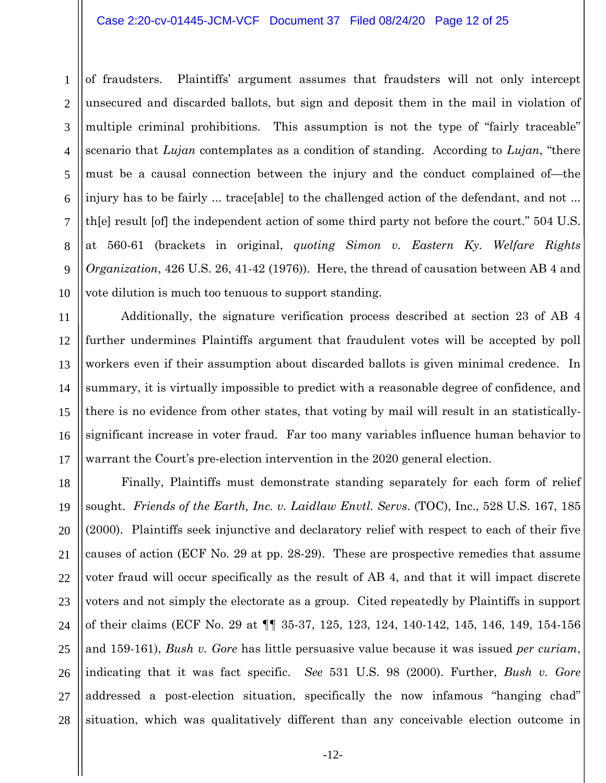#### Case 2:20-cv-01445-JCM-VCF Document 37 Filed 08/24/20 Page 12 of 25

1 2 3 4 5 6 7 8 9 10 of fraudsters. Plaintiffs' argument assumes that fraudsters will not only intercept unsecured and discarded ballots, but sign and deposit them in the mail in violation of multiple criminal prohibitions. This assumption is not the type of "fairly traceable" scenario that *Lujan* contemplates as a condition of standing. According to *Lujan*, "there must be a causal connection between the injury and the conduct complained of—the injury has to be fairly ... trace[able] to the challenged action of the defendant, and not ... th[e] result [of] the independent action of some third party not before the court." 504 U.S. at 560-61 (brackets in original, *quoting Simon v. Eastern Ky. Welfare Rights Organization*, 426 U.S. 26, 41-42 (1976)). Here, the thread of causation between AB 4 and vote dilution is much too tenuous to support standing.

Additionally, the signature verification process described at section 23 of AB 4 further undermines Plaintiffs argument that fraudulent votes will be accepted by poll workers even if their assumption about discarded ballots is given minimal credence. In summary, it is virtually impossible to predict with a reasonable degree of confidence, and there is no evidence from other states, that voting by mail will result in an statisticallysignificant increase in voter fraud. Far too many variables influence human behavior to warrant the Court's pre-election intervention in the 2020 general election.

11

12

13

14

15

16

17

18 19 20 21 22 23 24 25 26 27 28 Finally, Plaintiffs must demonstrate standing separately for each form of relief sought. *Friends of the Earth, Inc. v. Laidlaw Envtl. Servs*. (TOC), Inc., 528 U.S. 167, 185 (2000). Plaintiffs seek injunctive and declaratory relief with respect to each of their five causes of action (ECF No. 29 at pp. 28-29). These are prospective remedies that assume voter fraud will occur specifically as the result of AB 4, and that it will impact discrete voters and not simply the electorate as a group. Cited repeatedly by Plaintiffs in support of their claims (ECF No. 29 at ¶¶ 35-37, 125, 123, 124, 140-142, 145, 146, 149, 154-156 and 159-161), *Bush v. Gore* has little persuasive value because it was issued *per curiam*, indicating that it was fact specific. *See* 531 U.S. 98 (2000). Further, *Bush v. Gore* addressed a post-election situation, specifically the now infamous "hanging chad" situation, which was qualitatively different than any conceivable election outcome in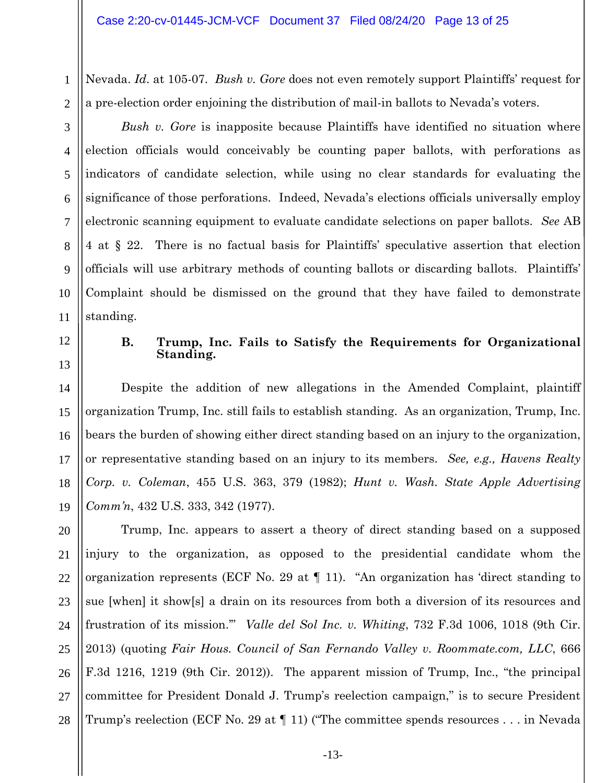1 2 Nevada. *Id*. at 105-07. *Bush v. Gore* does not even remotely support Plaintiffs' request for a pre-election order enjoining the distribution of mail-in ballots to Nevada's voters.

3

4

5

6

7

8

9

10

11

*Bush v. Gore* is inapposite because Plaintiffs have identified no situation where election officials would conceivably be counting paper ballots, with perforations as indicators of candidate selection, while using no clear standards for evaluating the significance of those perforations. Indeed, Nevada's elections officials universally employ electronic scanning equipment to evaluate candidate selections on paper ballots. *See* AB 4 at § 22. There is no factual basis for Plaintiffs' speculative assertion that election officials will use arbitrary methods of counting ballots or discarding ballots. Plaintiffs' Complaint should be dismissed on the ground that they have failed to demonstrate standing.

12 13

14

15

16

17

18

19

## **B. Trump, Inc. Fails to Satisfy the Requirements for Organizational Standing.**

Despite the addition of new allegations in the Amended Complaint, plaintiff organization Trump, Inc. still fails to establish standing. As an organization, Trump, Inc. bears the burden of showing either direct standing based on an injury to the organization, or representative standing based on an injury to its members. *See, e.g., Havens Realty Corp. v. Coleman*, 455 U.S. 363, 379 (1982); *Hunt v. Wash. State Apple Advertising Comm'n*, 432 U.S. 333, 342 (1977).

20 21 22 23 24 25 26 27 28 Trump, Inc. appears to assert a theory of direct standing based on a supposed injury to the organization, as opposed to the presidential candidate whom the organization represents (ECF No. 29 at ¶ 11). "An organization has 'direct standing to sue [when] it show[s] a drain on its resources from both a diversion of its resources and frustration of its mission.'" *Valle del Sol Inc. v. Whiting*, 732 F.3d 1006, 1018 (9th Cir. 2013) (quoting *Fair Hous. Council of San Fernando Valley v. Roommate.com, LLC*, 666 F.3d 1216, 1219 (9th Cir. 2012)). The apparent mission of Trump, Inc., "the principal committee for President Donald J. Trump's reelection campaign," is to secure President Trump's reelection (ECF No. 29 at ¶ 11) ("The committee spends resources . . . in Nevada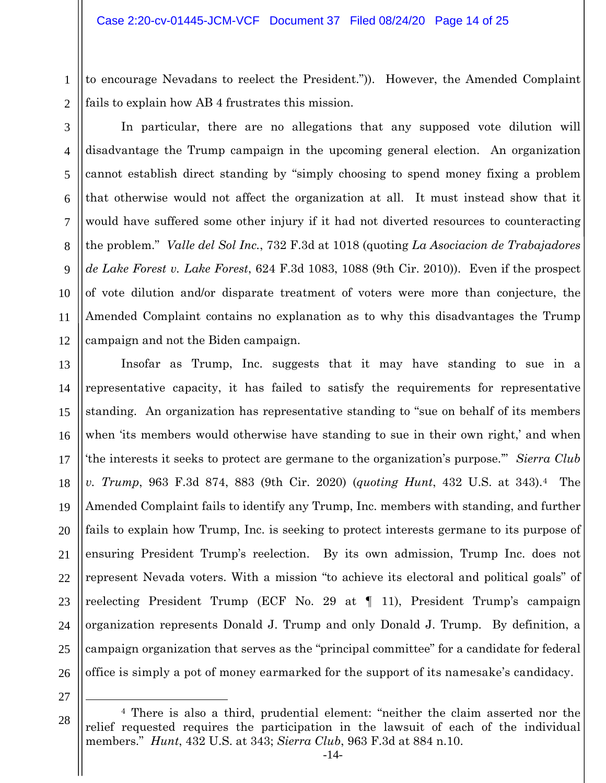1 to encourage Nevadans to reelect the President.")). However, the Amended Complaint fails to explain how AB 4 frustrates this mission.

2 3

4

5

6

7

8

9

10

11

12

In particular, there are no allegations that any supposed vote dilution will disadvantage the Trump campaign in the upcoming general election. An organization cannot establish direct standing by "simply choosing to spend money fixing a problem that otherwise would not affect the organization at all. It must instead show that it would have suffered some other injury if it had not diverted resources to counteracting the problem." *Valle del Sol Inc.*, 732 F.3d at 1018 (quoting *La Asociacion de Trabajadores de Lake Forest v. Lake Forest*, 624 F.3d 1083, 1088 (9th Cir. 2010)). Even if the prospect of vote dilution and/or disparate treatment of voters were more than conjecture, the Amended Complaint contains no explanation as to why this disadvantages the Trump campaign and not the Biden campaign.

13 14 15 16 17 18 19 20 21 22 23 24 25 26 Insofar as Trump, Inc. suggests that it may have standing to sue in a representative capacity, it has failed to satisfy the requirements for representative standing. An organization has representative standing to "sue on behalf of its members when 'its members would otherwise have standing to sue in their own right,' and when 'the interests it seeks to protect are germane to the organization's purpose.'" *Sierra Club v. Trump*, 963 F.3d 874, 883 (9th Cir. 2020) (*quoting Hunt*, 432 U.S. at 343).[4](#page-13-0) The Amended Complaint fails to identify any Trump, Inc. members with standing, and further fails to explain how Trump, Inc. is seeking to protect interests germane to its purpose of ensuring President Trump's reelection. By its own admission, Trump Inc. does not represent Nevada voters. With a mission "to achieve its electoral and political goals" of reelecting President Trump (ECF No. 29 at ¶ 11), President Trump's campaign organization represents Donald J. Trump and only Donald J. Trump. By definition, a campaign organization that serves as the "principal committee" for a candidate for federal office is simply a pot of money earmarked for the support of its namesake's candidacy.

<span id="page-13-0"></span>27

 $\overline{a}$ 

<sup>4</sup> There is also a third, prudential element: "neither the claim asserted nor the relief requested requires the participation in the lawsuit of each of the individual members." *Hunt*, 432 U.S. at 343; *Sierra Club*, 963 F.3d at 884 n.10.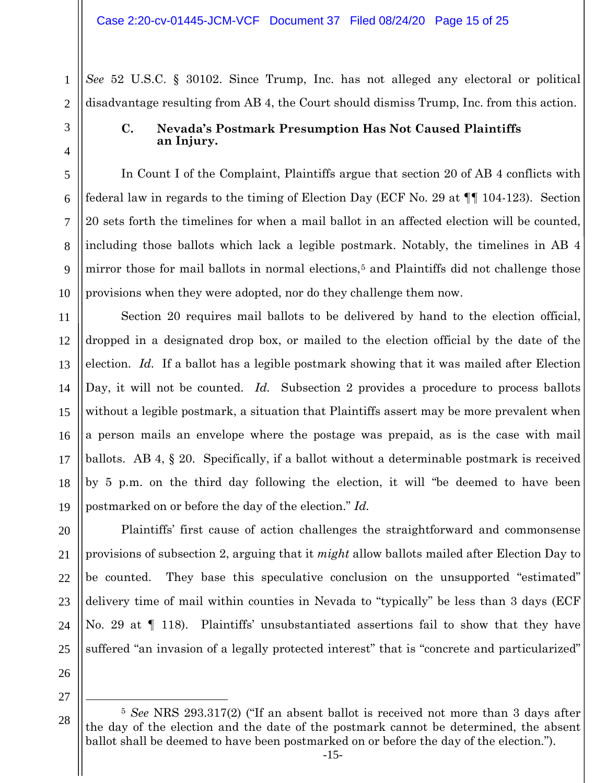*See* 52 U.S.C. § 30102. Since Trump, Inc. has not alleged any electoral or political disadvantage resulting from AB 4, the Court should dismiss Trump, Inc. from this action.

1

2

3

4

5

6

7

8

9

10

11

12

13

14

15

16

17

18

19

20

21

22

23

24

25

# **C. Nevada's Postmark Presumption Has Not Caused Plaintiffs an Injury.**

In Count I of the Complaint, Plaintiffs argue that section 20 of AB 4 conflicts with federal law in regards to the timing of Election Day (ECF No. 29 at ¶¶ 104-123). Section 20 sets forth the timelines for when a mail ballot in an affected election will be counted, including those ballots which lack a legible postmark. Notably, the timelines in AB 4 mirror those for mail ballots in normal elections,<sup>[5](#page-14-0)</sup> and Plaintiffs did not challenge those provisions when they were adopted, nor do they challenge them now.

Section 20 requires mail ballots to be delivered by hand to the election official, dropped in a designated drop box, or mailed to the election official by the date of the election. *Id.* If a ballot has a legible postmark showing that it was mailed after Election Day, it will not be counted. *Id.* Subsection 2 provides a procedure to process ballots without a legible postmark, a situation that Plaintiffs assert may be more prevalent when a person mails an envelope where the postage was prepaid, as is the case with mail ballots. AB 4, § 20. Specifically, if a ballot without a determinable postmark is received by 5 p.m. on the third day following the election, it will "be deemed to have been postmarked on or before the day of the election." *Id.*

Plaintiffs' first cause of action challenges the straightforward and commonsense provisions of subsection 2, arguing that it *might* allow ballots mailed after Election Day to be counted. They base this speculative conclusion on the unsupported "estimated" delivery time of mail within counties in Nevada to "typically" be less than 3 days (ECF No. 29 at ¶ 118). Plaintiffs' unsubstantiated assertions fail to show that they have suffered "an invasion of a legally protected interest" that is "concrete and particularized"

26

27

<span id="page-14-0"></span><sup>28</sup> <sup>5</sup> *See* NRS 293.317(2) ("If an absent ballot is received not more than 3 days after the day of the election and the date of the postmark cannot be determined, the absent ballot shall be deemed to have been postmarked on or before the day of the election.").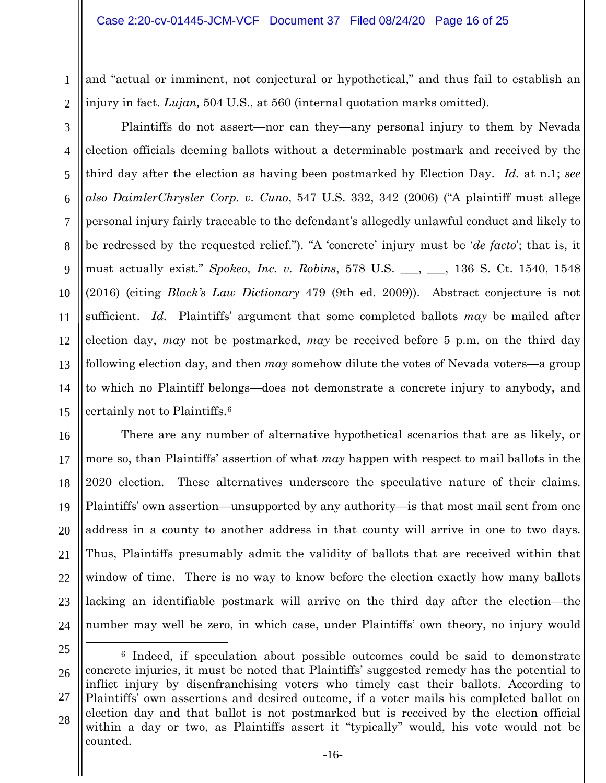1 2 and "actual or imminent, not conjectural or hypothetical," and thus fail to establish an injury in fact. *Lujan,* 504 U.S., at 560 (internal quotation marks omitted).

Plaintiffs do not assert—nor can they—any personal injury to them by Nevada election officials deeming ballots without a determinable postmark and received by the third day after the election as having been postmarked by Election Day. *Id.* at n.1; *see also DaimlerChrysler Corp. v. Cuno*, 547 U.S. 332, 342 (2006) ("A plaintiff must allege personal injury fairly traceable to the defendant's allegedly unlawful conduct and likely to be redressed by the requested relief."). "A 'concrete' injury must be '*de facto*'; that is, it must actually exist." *Spokeo, Inc. v. Robins*, 578 U.S. \_\_\_, \_\_\_, 136 S. Ct. 1540, 1548 (2016) (citing *Black's Law Dictionary* 479 (9th ed. 2009)). Abstract conjecture is not

sufficient. *Id.* Plaintiffs' argument that some completed ballots *may* be mailed after election day, *may* not be postmarked, *may* be received before 5 p.m. on the third day following election day, and then *may* somehow dilute the votes of Nevada voters—a group to which no Plaintiff belongs—does not demonstrate a concrete injury to anybody, and certainly not to Plaintiffs.[6](#page-15-0)

There are any number of alternative hypothetical scenarios that are as likely, or more so, than Plaintiffs' assertion of what *may* happen with respect to mail ballots in the 2020 election. These alternatives underscore the speculative nature of their claims. Plaintiffs' own assertion—unsupported by any authority—is that most mail sent from one address in a county to another address in that county will arrive in one to two days. Thus, Plaintiffs presumably admit the validity of ballots that are received within that window of time. There is no way to know before the election exactly how many ballots lacking an identifiable postmark will arrive on the third day after the election—the number may well be zero, in which case, under Plaintiffs' own theory, no injury would

 $\overline{a}$ 

3

4

5

6

7

8

9

10

11

12

13

14

15

16

17

18

19

20

21

22

23

<span id="page-15-0"></span><sup>25</sup>

<sup>26</sup> 27 28 <sup>6</sup> Indeed, if speculation about possible outcomes could be said to demonstrate concrete injuries, it must be noted that Plaintiffs' suggested remedy has the potential to inflict injury by disenfranchising voters who timely cast their ballots. According to Plaintiffs' own assertions and desired outcome, if a voter mails his completed ballot on election day and that ballot is not postmarked but is received by the election official within a day or two, as Plaintiffs assert it "typically" would, his vote would not be counted.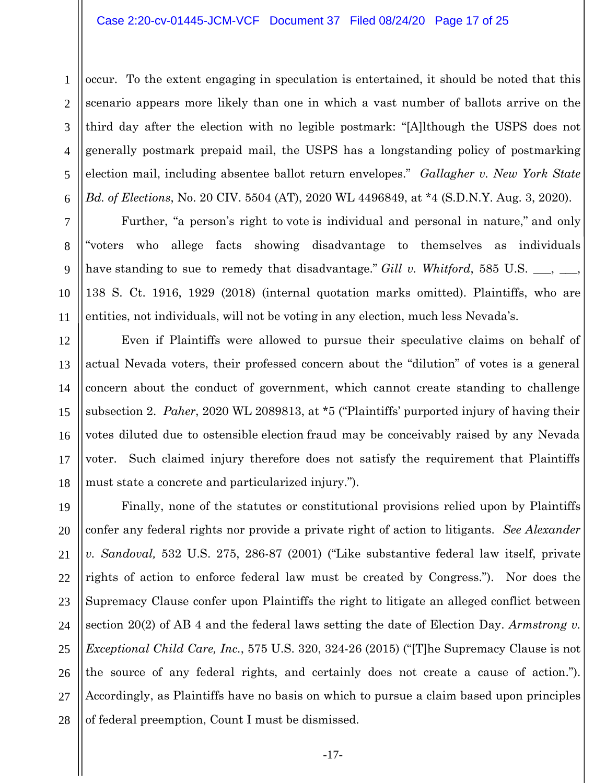#### Case 2:20-cv-01445-JCM-VCF Document 37 Filed 08/24/20 Page 17 of 25

1 2 occur. To the extent engaging in speculation is entertained, it should be noted that this scenario appears more likely than one in which a vast number of ballots arrive on the third day after the election with no legible postmark: "[A]lthough the USPS does not generally postmark prepaid mail, the USPS has a longstanding policy of postmarking election mail, including absentee ballot return envelopes." *Gallagher v. New York State Bd. of Elections*, No. 20 CIV. 5504 (AT), 2020 WL 4496849, at \*4 (S.D.N.Y. Aug. 3, 2020).

Further, "a person's right to vote is individual and personal in nature," and only "voters who allege facts showing disadvantage to themselves as individuals have standing to sue to remedy that disadvantage." *Gill v. Whitford*, 585 U.S. <sub>\_\_\_,</sub> \_ 138 S. Ct. 1916, 1929 (2018) (internal quotation marks omitted). Plaintiffs, who are entities, not individuals, will not be voting in any election, much less Nevada's.

Even if Plaintiffs were allowed to pursue their speculative claims on behalf of actual Nevada voters, their professed concern about the "dilution" of votes is a general concern about the conduct of government, which cannot create standing to challenge subsection 2. *Paher*, 2020 WL 2089813, at \*5 ("Plaintiffs' purported injury of having their votes diluted due to ostensible election fraud may be conceivably raised by any Nevada voter. Such claimed injury therefore does not satisfy the requirement that Plaintiffs must state a concrete and particularized injury.").

Finally, none of the statutes or constitutional provisions relied upon by Plaintiffs confer any federal rights nor provide a private right of action to litigants. *See Alexander v. Sandoval,* 532 U.S. 275, 286-87 (2001) ("Like substantive federal law itself, private rights of action to enforce federal law must be created by Congress."). Nor does the Supremacy Clause confer upon Plaintiffs the right to litigate an alleged conflict between section 20(2) of AB 4 and the federal laws setting the date of Election Day. *Armstrong v. Exceptional Child Care, Inc.*, 575 U.S. 320, 324-26 (2015) ("[T]he Supremacy Clause is not the source of any federal rights, and certainly does not create a cause of action."). Accordingly, as Plaintiffs have no basis on which to pursue a claim based upon principles of federal preemption, Count I must be dismissed.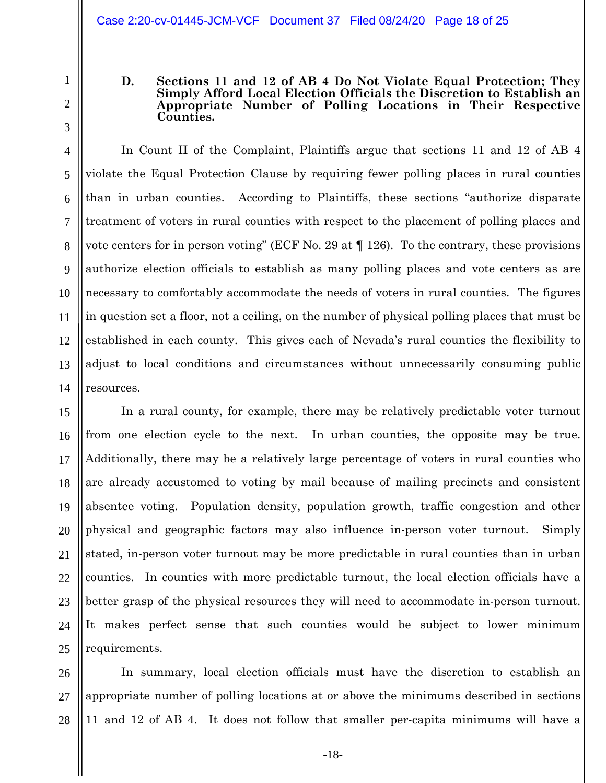1

2

3

4

5

6

7

8

9

10

11

12

13

14

### **D. Sections 11 and 12 of AB 4 Do Not Violate Equal Protection; They Simply Afford Local Election Officials the Discretion to Establish an Appropriate Number of Polling Locations in Their Respective Counties.**

In Count II of the Complaint, Plaintiffs argue that sections 11 and 12 of AB 4 violate the Equal Protection Clause by requiring fewer polling places in rural counties than in urban counties. According to Plaintiffs, these sections "authorize disparate treatment of voters in rural counties with respect to the placement of polling places and vote centers for in person voting" (ECF No. 29 at ¶ 126). To the contrary, these provisions authorize election officials to establish as many polling places and vote centers as are necessary to comfortably accommodate the needs of voters in rural counties. The figures in question set a floor, not a ceiling, on the number of physical polling places that must be established in each county. This gives each of Nevada's rural counties the flexibility to adjust to local conditions and circumstances without unnecessarily consuming public resources.

15 16 17 18 19 20 21 22 23 24 25 In a rural county, for example, there may be relatively predictable voter turnout from one election cycle to the next. In urban counties, the opposite may be true. Additionally, there may be a relatively large percentage of voters in rural counties who are already accustomed to voting by mail because of mailing precincts and consistent absentee voting. Population density, population growth, traffic congestion and other physical and geographic factors may also influence in-person voter turnout. Simply stated, in-person voter turnout may be more predictable in rural counties than in urban counties. In counties with more predictable turnout, the local election officials have a better grasp of the physical resources they will need to accommodate in-person turnout. It makes perfect sense that such counties would be subject to lower minimum requirements.

26 27 28 In summary, local election officials must have the discretion to establish an appropriate number of polling locations at or above the minimums described in sections 11 and 12 of AB 4. It does not follow that smaller per-capita minimums will have a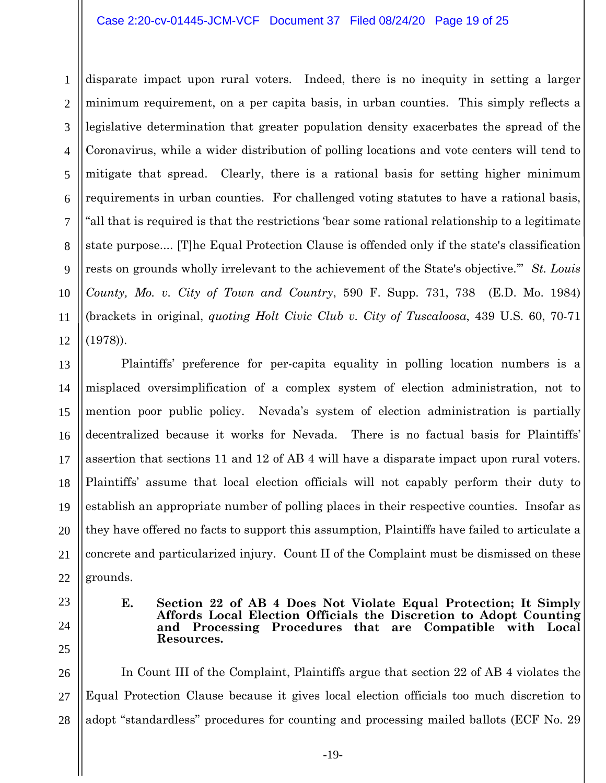### Case 2:20-cv-01445-JCM-VCF Document 37 Filed 08/24/20 Page 19 of 25

1 2 3 4 5 6 7 8 9 10 11 12 disparate impact upon rural voters. Indeed, there is no inequity in setting a larger minimum requirement, on a per capita basis, in urban counties. This simply reflects a legislative determination that greater population density exacerbates the spread of the Coronavirus, while a wider distribution of polling locations and vote centers will tend to mitigate that spread. Clearly, there is a rational basis for setting higher minimum requirements in urban counties. For challenged voting statutes to have a rational basis, "all that is required is that the restrictions 'bear some rational relationship to a legitimate state purpose.... [T]he Equal Protection Clause is offended only if the state's classification rests on grounds wholly irrelevant to the achievement of the State's objective.'" *St. Louis County, Mo. v. City of Town and Country*, 590 F. Supp. 731, 738 (E.D. Mo. 1984) (brackets in original, *quoting Holt Civic Club v. City of Tuscaloosa*, 439 U.S. 60, 70-71 (1978)).

13 14 15 16 17 18 19 20 21 22 Plaintiffs' preference for per-capita equality in polling location numbers is a misplaced oversimplification of a complex system of election administration, not to mention poor public policy. Nevada's system of election administration is partially decentralized because it works for Nevada. There is no factual basis for Plaintiffs' assertion that sections 11 and 12 of AB 4 will have a disparate impact upon rural voters. Plaintiffs' assume that local election officials will not capably perform their duty to establish an appropriate number of polling places in their respective counties. Insofar as they have offered no facts to support this assumption, Plaintiffs have failed to articulate a concrete and particularized injury. Count II of the Complaint must be dismissed on these grounds.

- 23
- 24 25

**E. Section 22 of AB 4 Does Not Violate Equal Protection; It Simply Affords Local Election Officials the Discretion to Adopt Counting and Processing Procedures that are Compatible with Local Resources.**

26 27 28 In Count III of the Complaint, Plaintiffs argue that section 22 of AB 4 violates the Equal Protection Clause because it gives local election officials too much discretion to adopt "standardless" procedures for counting and processing mailed ballots (ECF No. 29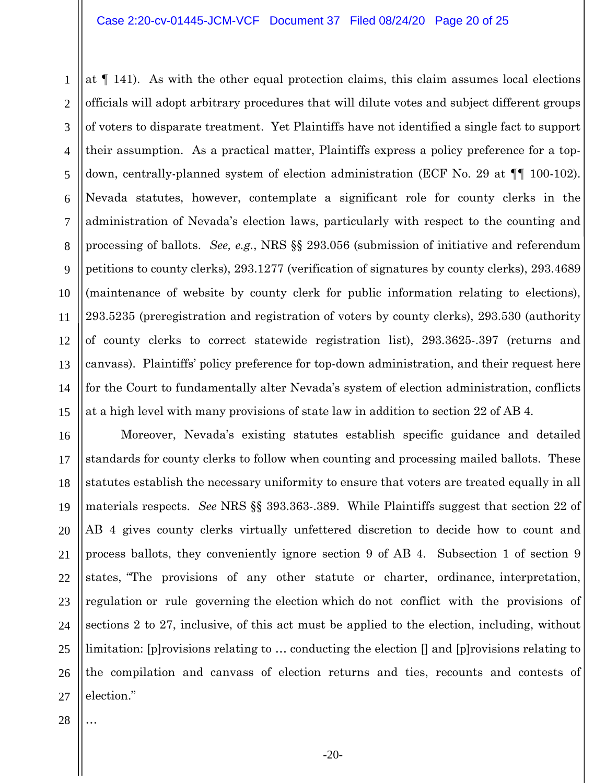1 2 3 4 5 6 7 8 9 10 11 12 13 14 15 at ¶ 141). As with the other equal protection claims, this claim assumes local elections officials will adopt arbitrary procedures that will dilute votes and subject different groups of voters to disparate treatment. Yet Plaintiffs have not identified a single fact to support their assumption. As a practical matter, Plaintiffs express a policy preference for a topdown, centrally-planned system of election administration (ECF No. 29 at ¶¶ 100-102). Nevada statutes, however, contemplate a significant role for county clerks in the administration of Nevada's election laws, particularly with respect to the counting and processing of ballots. *See, e.g.*, NRS §§ 293.056 (submission of initiative and referendum petitions to county clerks), 293.1277 (verification of signatures by county clerks), 293.4689 (maintenance of website by county clerk for public information relating to elections), 293.5235 (preregistration and registration of voters by county clerks), 293.530 (authority of county clerks to correct statewide registration list), 293.3625-.397 (returns and canvass). Plaintiffs' policy preference for top-down administration, and their request here for the Court to fundamentally alter Nevada's system of election administration, conflicts at a high level with many provisions of state law in addition to section 22 of AB 4.

16 17 18 19 20 21 22 23 24 25 26 27 Moreover, Nevada's existing statutes establish specific guidance and detailed standards for county clerks to follow when counting and processing mailed ballots. These statutes establish the necessary uniformity to ensure that voters are treated equally in all materials respects. *See* NRS §§ 393.363-.389. While Plaintiffs suggest that section 22 of AB 4 gives county clerks virtually unfettered discretion to decide how to count and process ballots, they conveniently ignore section 9 of AB 4. Subsection 1 of section 9 states, "The provisions of any other statute or charter, ordinance, interpretation, regulation or rule governing the election which do not conflict with the provisions of sections 2 to 27, inclusive, of this act must be applied to the election, including, without limitation: [p] rovisions relating to  $\ldots$  conducting the election  $\eta$  and [p] rovisions relating to the compilation and canvass of election returns and ties, recounts and contests of election."

28

…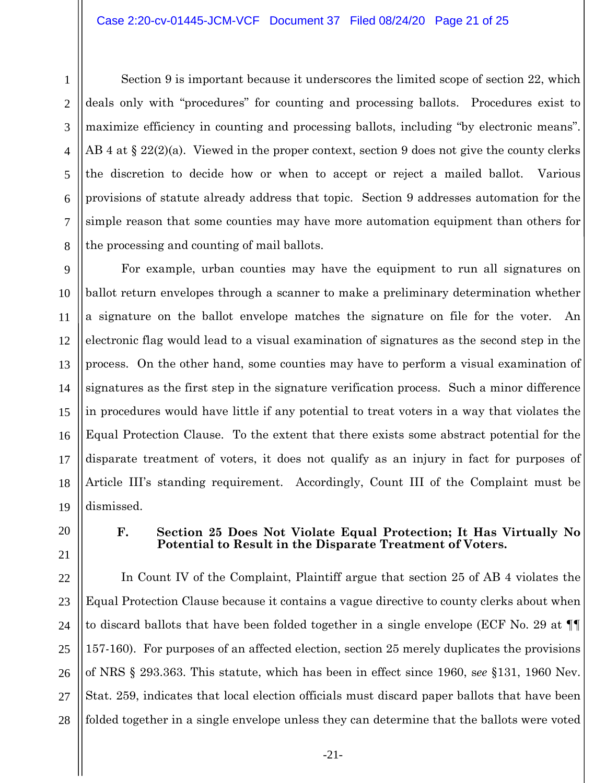24

25

26

27

28

Section 9 is important because it underscores the limited scope of section 22, which deals only with "procedures" for counting and processing ballots. Procedures exist to maximize efficiency in counting and processing ballots, including "by electronic means". AB 4 at  $\S 22(2)(a)$ . Viewed in the proper context, section 9 does not give the county clerks the discretion to decide how or when to accept or reject a mailed ballot. Various provisions of statute already address that topic. Section 9 addresses automation for the simple reason that some counties may have more automation equipment than others for the processing and counting of mail ballots.

For example, urban counties may have the equipment to run all signatures on ballot return envelopes through a scanner to make a preliminary determination whether a signature on the ballot envelope matches the signature on file for the voter. An electronic flag would lead to a visual examination of signatures as the second step in the process. On the other hand, some counties may have to perform a visual examination of signatures as the first step in the signature verification process. Such a minor difference in procedures would have little if any potential to treat voters in a way that violates the Equal Protection Clause. To the extent that there exists some abstract potential for the disparate treatment of voters, it does not qualify as an injury in fact for purposes of Article III's standing requirement. Accordingly, Count III of the Complaint must be dismissed.

# **F. Section 25 Does Not Violate Equal Protection; It Has Virtually No Potential to Result in the Disparate Treatment of Voters.**

In Count IV of the Complaint, Plaintiff argue that section 25 of AB 4 violates the Equal Protection Clause because it contains a vague directive to county clerks about when to discard ballots that have been folded together in a single envelope (ECF No. 29 at ¶¶ 157-160). For purposes of an affected election, section 25 merely duplicates the provisions of NRS § 293.363. This statute, which has been in effect since 1960, s*ee* §131, 1960 Nev. Stat. 259, indicates that local election officials must discard paper ballots that have been folded together in a single envelope unless they can determine that the ballots were voted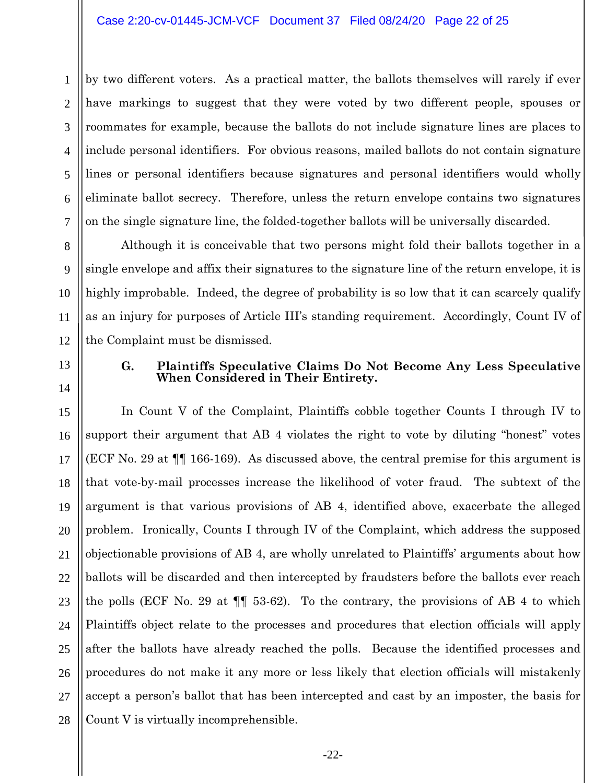1 2 3 4 5 6 7 by two different voters. As a practical matter, the ballots themselves will rarely if ever have markings to suggest that they were voted by two different people, spouses or roommates for example, because the ballots do not include signature lines are places to include personal identifiers. For obvious reasons, mailed ballots do not contain signature lines or personal identifiers because signatures and personal identifiers would wholly eliminate ballot secrecy. Therefore, unless the return envelope contains two signatures on the single signature line, the folded-together ballots will be universally discarded.

Although it is conceivable that two persons might fold their ballots together in a single envelope and affix their signatures to the signature line of the return envelope, it is highly improbable. Indeed, the degree of probability is so low that it can scarcely qualify as an injury for purposes of Article III's standing requirement. Accordingly, Count IV of the Complaint must be dismissed.

13

8

9

10

11

12

14

### **G. Plaintiffs Speculative Claims Do Not Become Any Less Speculative When Considered in Their Entirety.**

15 16 17 18 19 20 21 22 23 24 25 26 27 28 In Count V of the Complaint, Plaintiffs cobble together Counts I through IV to support their argument that AB 4 violates the right to vote by diluting "honest" votes (ECF No. 29 at ¶¶ 166-169). As discussed above, the central premise for this argument is that vote-by-mail processes increase the likelihood of voter fraud. The subtext of the argument is that various provisions of AB 4, identified above, exacerbate the alleged problem. Ironically, Counts I through IV of the Complaint, which address the supposed objectionable provisions of AB 4, are wholly unrelated to Plaintiffs' arguments about how ballots will be discarded and then intercepted by fraudsters before the ballots ever reach the polls (ECF No. 29 at ¶¶ 53-62). To the contrary, the provisions of AB 4 to which Plaintiffs object relate to the processes and procedures that election officials will apply after the ballots have already reached the polls. Because the identified processes and procedures do not make it any more or less likely that election officials will mistakenly accept a person's ballot that has been intercepted and cast by an imposter, the basis for Count V is virtually incomprehensible.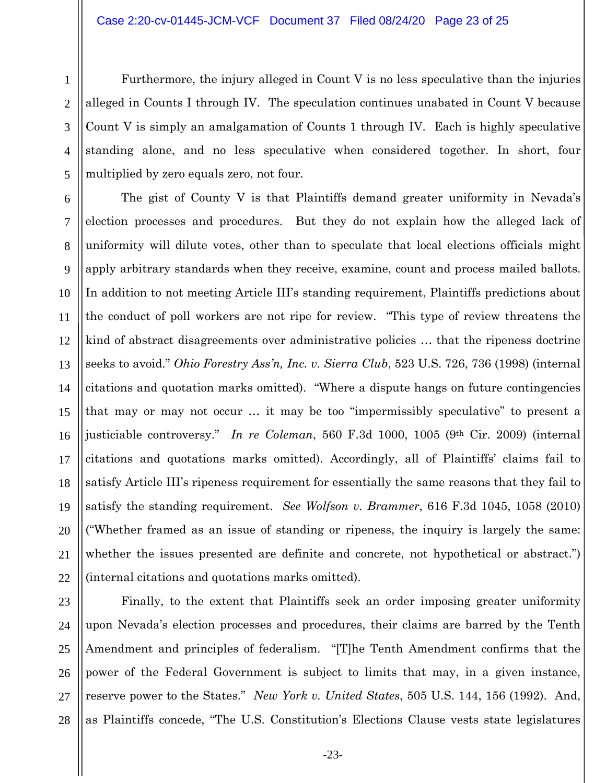Furthermore, the injury alleged in Count V is no less speculative than the injuries alleged in Counts I through IV. The speculation continues unabated in Count V because Count V is simply an amalgamation of Counts 1 through IV. Each is highly speculative standing alone, and no less speculative when considered together. In short, four multiplied by zero equals zero, not four.

The gist of County V is that Plaintiffs demand greater uniformity in Nevada's election processes and procedures. But they do not explain how the alleged lack of uniformity will dilute votes, other than to speculate that local elections officials might apply arbitrary standards when they receive, examine, count and process mailed ballots. In addition to not meeting Article III's standing requirement, Plaintiffs predictions about the conduct of poll workers are not ripe for review. "This type of review threatens the kind of abstract disagreements over administrative policies … that the ripeness doctrine seeks to avoid." *Ohio Forestry Ass'n, Inc. v. Sierra Club*, 523 U.S. 726, 736 (1998) (internal citations and quotation marks omitted). "Where a dispute hangs on future contingencies that may or may not occur … it may be too "impermissibly speculative" to present a justiciable controversy." *In re Coleman*, 560 F.3d 1000, 1005 (9th Cir. 2009) (internal citations and quotations marks omitted). Accordingly, all of Plaintiffs' claims fail to satisfy Article III's ripeness requirement for essentially the same reasons that they fail to satisfy the standing requirement. *See Wolfson v. Brammer*, 616 F.3d 1045, 1058 (2010) ("Whether framed as an issue of standing or ripeness, the inquiry is largely the same: whether the issues presented are definite and concrete, not hypothetical or abstract.") (internal citations and quotations marks omitted).

23 24 25 26 27 28 Finally, to the extent that Plaintiffs seek an order imposing greater uniformity upon Nevada's election processes and procedures, their claims are barred by the Tenth Amendment and principles of federalism. "[T]he Tenth Amendment confirms that the power of the Federal Government is subject to limits that may, in a given instance, reserve power to the States." *New York v. United States*, 505 U.S. 144, 156 (1992). And, as Plaintiffs concede, "The U.S. Constitution's Elections Clause vests state legislatures

1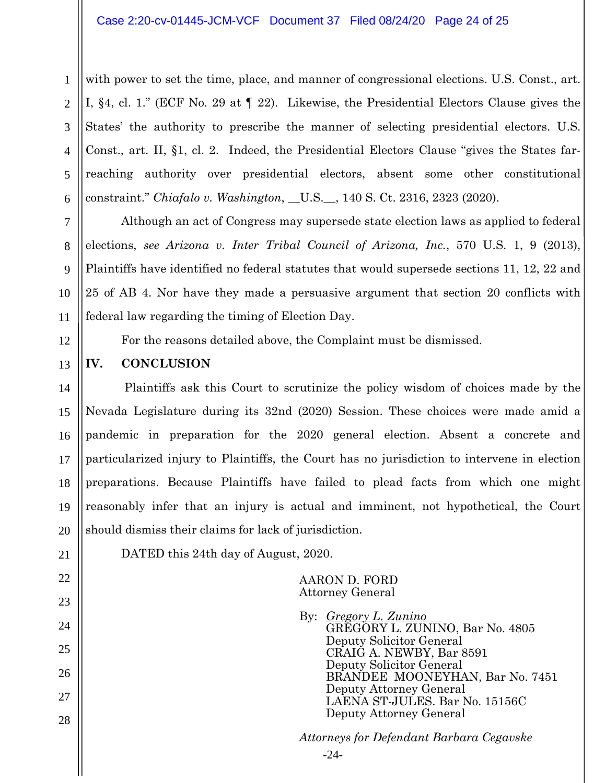### Case 2:20-cv-01445-JCM-VCF Document 37 Filed 08/24/20 Page 24 of 25

1 2 3 4 5 6 with power to set the time, place, and manner of congressional elections. U.S. Const., art. I, §4, cl. 1." (ECF No. 29 at ¶ 22). Likewise, the Presidential Electors Clause gives the States' the authority to prescribe the manner of selecting presidential electors. U.S. Const., art. II, §1, cl. 2. Indeed, the Presidential Electors Clause "gives the States farreaching authority over presidential electors, absent some other constitutional constraint." *Chiafalo v. Washington*, \_\_U.S.\_\_, 140 S. Ct. 2316, 2323 (2020).

Although an act of Congress may supersede state election laws as applied to federal elections, *see Arizona v. Inter Tribal Council of Arizona, Inc.*, 570 U.S. 1, 9 (2013), Plaintiffs have identified no federal statutes that would supersede sections 11, 12, 22 and 25 of AB 4. Nor have they made a persuasive argument that section 20 conflicts with federal law regarding the timing of Election Day.

For the reasons detailed above, the Complaint must be dismissed.

# **IV. CONCLUSION**

14 15 16 17 18 Plaintiffs ask this Court to scrutinize the policy wisdom of choices made by the Nevada Legislature during its 32nd (2020) Session. These choices were made amid a pandemic in preparation for the 2020 general election. Absent a concrete and particularized injury to Plaintiffs, the Court has no jurisdiction to intervene in election preparations. Because Plaintiffs have failed to plead facts from which one might reasonably infer that an injury is actual and imminent, not hypothetical, the Court should dismiss their claims for lack of jurisdiction.

7

8

9

10

11

12

13

DATED this 24th day of August, 2020.

### AARON D. FORD Attorney General

-24-

By: *Gregory L. Zunino* GREGORY L. ZUNINO, Bar No. 4805 Deputy Solicitor General CRAIG A. NEWBY, Bar 8591 Deputy Solicitor General BRANDEE MOONEYHAN, Bar No. 7451 Deputy Attorney General LAENA ST-JULES. Bar No. 15156C Deputy Attorney General

*Attorneys for Defendant Barbara Cegavske*